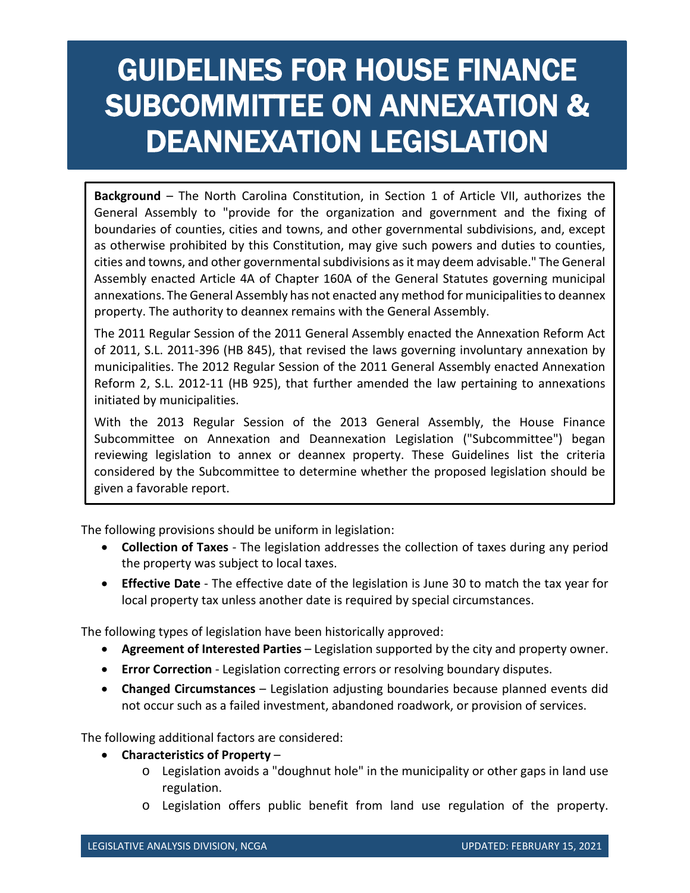## GUIDELINES FOR HOUSE FINANCE SUBCOMMITTEE ON ANNEXATION & DEANNEXATION LEGISLATION

**Background** – The North Carolina Constitution, in Section 1 of Article VII, authorizes the General Assembly to "provide for the organization and government and the fixing of boundaries of counties, cities and towns, and other governmental subdivisions, and, except as otherwise prohibited by this Constitution, may give such powers and duties to counties, cities and towns, and other governmental subdivisions as it may deem advisable." The General Assembly enacted Article 4A of Chapter 160A of the General Statutes governing municipal annexations. The General Assembly has not enacted any method for municipalities to deannex property. The authority to deannex remains with the General Assembly.

The 2011 Regular Session of the 2011 General Assembly enacted the Annexation Reform Act of 2011, S.L. 2011-396 (HB 845), that revised the laws governing involuntary annexation by municipalities. The 2012 Regular Session of the 2011 General Assembly enacted Annexation Reform 2, S.L. 2012-11 (HB 925), that further amended the law pertaining to annexations initiated by municipalities.

With the 2013 Regular Session of the 2013 General Assembly, the House Finance Subcommittee on Annexation and Deannexation Legislation ("Subcommittee") began reviewing legislation to annex or deannex property. These Guidelines list the criteria considered by the Subcommittee to determine whether the proposed legislation should be given a favorable report.

The following provisions should be uniform in legislation:

- **Collection of Taxes**  The legislation addresses the collection of taxes during any period the property was subject to local taxes.
- **Effective Date**  The effective date of the legislation is June 30 to match the tax year for local property tax unless another date is required by special circumstances.

The following types of legislation have been historically approved:

- **Agreement of Interested Parties**  Legislation supported by the city and property owner.
- **Error Correction**  Legislation correcting errors or resolving boundary disputes.
- **Changed Circumstances**  Legislation adjusting boundaries because planned events did not occur such as a failed investment, abandoned roadwork, or provision of services.

The following additional factors are considered:

- **Characteristics of Property** 
	- $\circ$  Legislation avoids a "doughnut hole" in the municipality or other gaps in land use regulation.
	- o Legislation offers public benefit from land use regulation of the property.